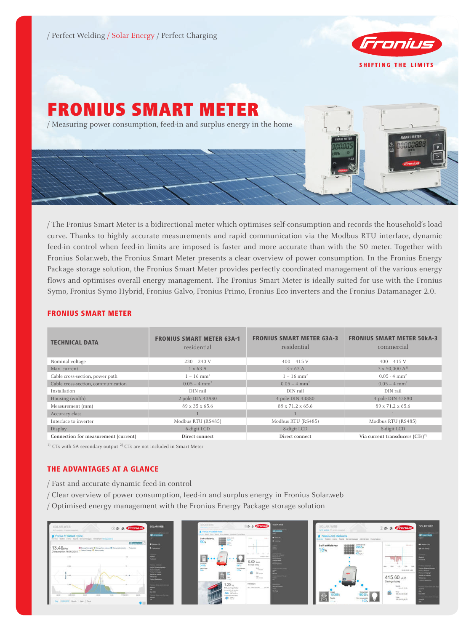/ Perfect Welding / Solar Energy / Perfect Charging



# FRONIUS SMART METER / Measuring power consumption, feed-in and surplus energy in the home

/ The Fronius Smart Meter is a bidirectional meter which optimises self-consumption and records the household's load curve. Thanks to highly accurate measurements and rapid communication via the Modbus RTU interface, dynamic feed-in control when feed-in limits are imposed is faster and more accurate than with the S0 meter. Together with Fronius Solar.web, the Fronius Smart Meter presents a clear overview of power consumption. In the Fronius Energy Package storage solution, the Fronius Smart Meter provides perfectly coordinated management of the various energy flows and optimises overall energy management. The Fronius Smart Meter is ideally suited for use with the Fronius Symo, Fronius Symo Hybrid, Fronius Galvo, Fronius Primo, Fronius Eco inverters and the Fronius Datamanager 2.0.

# FRONIUS SMART METER

| <b>TECHNICAL DATA</b>                | <b>FRONIUS SMART METER 63A-1</b><br>residential | <b>FRONIUS SMART METER 63A-3</b><br>residential | <b>FRONIUS SMART METER 50KA-3</b><br>commercial |
|--------------------------------------|-------------------------------------------------|-------------------------------------------------|-------------------------------------------------|
| Nominal voltage                      | $230 - 240$ V                                   | $400 - 415$ V                                   | $400 - 415$ V                                   |
| Max. current                         | $1 \times 63$ A                                 | $3 \times 63$ A                                 | $3 \times 50,000 \text{ A}^{1}$                 |
| Cable cross-section, power path      | $1 - 16$ mm <sup>2</sup>                        | $1 - 16$ mm <sup>2</sup>                        | $0.05 - 4 \text{ mm}^2$                         |
| Cable cross-section, communication   | $0.05 - 4 \text{ mm}^2$                         | $0.05 - 4 \text{ mm}^2$                         | $0.05 - 4 \text{ mm}^2$                         |
| Installation                         | DIN rail                                        | DIN rail                                        | DIN rail                                        |
| Housing (width)                      | 2 pole DIN 43880                                | 4 pole DIN 43880                                | 4 pole DIN 43880                                |
| Measurement (mm)                     | 89 x 35 x 65.6                                  | 89 x 71.2 x 65.6                                | 89 x 71.2 x 65.6                                |
| Accuracy class                       |                                                 |                                                 |                                                 |
| Interface to inverter                | Modbus RTU (RS485)                              | Modbus RTU (RS485)                              | Modbus RTU (RS485)                              |
| Display                              | 6-digit LCD                                     | 8-digit LCD                                     | 8-digit LCD                                     |
| Connection for measurement (current) | Direct connect                                  | Direct connect                                  | Via current transducers $(CTs)^{2}$             |

 $1)$  CTs with 5A secondary output  $2)$  CTs are not included in Smart Meter

# THE ADVANTAGES AT A GLANCE

- / Fast and accurate dynamic feed-in control
- / Clear overview of power consumption, feed-in and surplus energy in Fronius Solar.web
- / Optimised energy management with the Fronius Energy Package storage solution